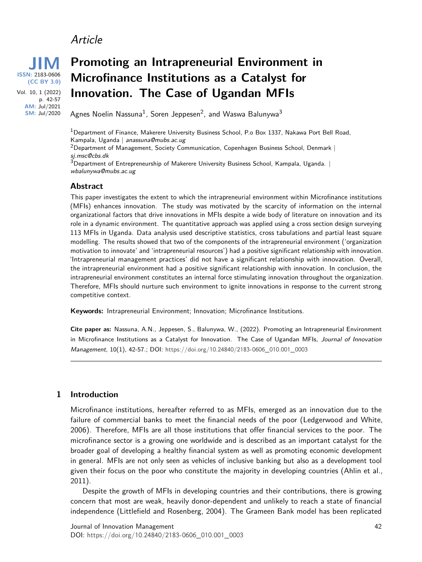## Article



# **Promoting an Intrapreneurial Environment in Microfinance Institutions as a Catalyst for Innovation. The Case of Ugandan MFIs**

Agnes Noelin Nassuna $^1$ , Soren Jeppesen $^2$ , and Waswa Balunywa $^3$ 

<sup>1</sup>Department of Finance, Makerere University Business School, P.o Box 1337, Nakawa Port Bell Road, Kampala, Uganda | anassuna@mubs.ac.ug

 $2$ Department of Management, Society Communication, Copenhagen Business School, Denmark | sj.msc@cbs.dk

 $3$ Department of Entrepreneurship of Makerere University Business School, Kampala, Uganda. | wbalunywa@mubs.ac.ug

#### **Abstract**

This paper investigates the extent to which the intrapreneurial environment within Microfinance institutions (MFIs) enhances innovation. The study was motivated by the scarcity of information on the internal organizational factors that drive innovations in MFIs despite a wide body of literature on innovation and its role in a dynamic environment. The quantitative approach was applied using a cross section design surveying 113 MFIs in Uganda. Data analysis used descriptive statistics, cross tabulations and partial least square modelling. The results showed that two of the components of the intrapreneurial environment ('organization motivation to innovate' and 'intrapreneurial resources') had a positive significant relationship with innovation. 'Intrapreneurial management practices' did not have a significant relationship with innovation. Overall, the intrapreneurial environment had a positive significant relationship with innovation. In conclusion, the intrapreneurial environment constitutes an internal force stimulating innovation throughout the organization. Therefore, MFIs should nurture such environment to ignite innovations in response to the current strong competitive context.

**Keywords:** Intrapreneurial Environment; Innovation; Microfinance Institutions.

**Cite paper as:** Nassuna, A.N., Jeppesen, S., Balunywa, W., (2022). Promoting an Intrapreneurial Environment in Microfinance Institutions as a Catalyst for Innovation. The Case of Ugandan MFIs, Journal of Innovation Management, 10(1), 42-57.; DOI: [https://doi.org/](https://doi.org/10.24840/2183-0606_010.001_0003)10.24840/2183-0606\_010.001\_0003

#### **1 Introduction**

Microfinance institutions, hereafter referred to as MFIs, emerged as an innovation due to the failure of commercial banks to meet the financial needs of the poor (Ledgerwood and White, 2006). Therefore, MFIs are all those institutions that offer financial services to the poor. The microfinance sector is a growing one worldwide and is described as an important catalyst for the broader goal of developing a healthy financial system as well as promoting economic development in general. MFIs are not only seen as vehicles of inclusive banking but also as a development tool given their focus on the poor who constitute the majority in developing countries (Ahlin et al., 2011).

Despite the growth of MFIs in developing countries and their contributions, there is growing concern that most are weak, heavily donor-dependent and unlikely to reach a state of financial independence (Littlefield and Rosenberg, 2004). The Grameen Bank model has been replicated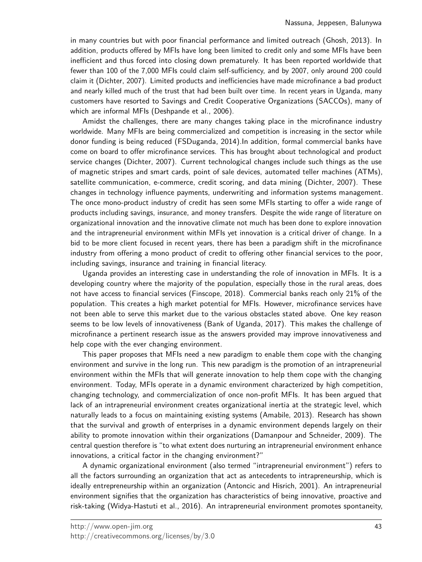in many countries but with poor financial performance and limited outreach (Ghosh, 2013). In addition, products offered by MFIs have long been limited to credit only and some MFIs have been inefficient and thus forced into closing down prematurely. It has been reported worldwide that fewer than 100 of the 7,000 MFIs could claim self-sufficiency, and by 2007, only around 200 could claim it (Dichter, 2007). Limited products and inefficiencies have made microfinance a bad product and nearly killed much of the trust that had been built over time. In recent years in Uganda, many customers have resorted to Savings and Credit Cooperative Organizations (SACCOs), many of which are informal MFIs (Deshpande et al., 2006).

Amidst the challenges, there are many changes taking place in the microfinance industry worldwide. Many MFIs are being commercialized and competition is increasing in the sector while donor funding is being reduced (FSDuganda, 2014).In addition, formal commercial banks have come on board to offer microfinance services. This has brought about technological and product service changes (Dichter, 2007). Current technological changes include such things as the use of magnetic stripes and smart cards, point of sale devices, automated teller machines (ATMs), satellite communication, e-commerce, credit scoring, and data mining (Dichter, 2007). These changes in technology influence payments, underwriting and information systems management. The once mono-product industry of credit has seen some MFIs starting to offer a wide range of products including savings, insurance, and money transfers. Despite the wide range of literature on organizational innovation and the innovative climate not much has been done to explore innovation and the intrapreneurial environment within MFIs yet innovation is a critical driver of change. In a bid to be more client focused in recent years, there has been a paradigm shift in the microfinance industry from offering a mono product of credit to offering other financial services to the poor, including savings, insurance and training in financial literacy.

Uganda provides an interesting case in understanding the role of innovation in MFIs. It is a developing country where the majority of the population, especially those in the rural areas, does not have access to financial services (Finscope, 2018). Commercial banks reach only 21% of the population. This creates a high market potential for MFIs. However, microfinance services have not been able to serve this market due to the various obstacles stated above. One key reason seems to be low levels of innovativeness (Bank of Uganda, 2017). This makes the challenge of microfinance a pertinent research issue as the answers provided may improve innovativeness and help cope with the ever changing environment.

This paper proposes that MFIs need a new paradigm to enable them cope with the changing environment and survive in the long run. This new paradigm is the promotion of an intrapreneurial environment within the MFIs that will generate innovation to help them cope with the changing environment. Today, MFIs operate in a dynamic environment characterized by high competition, changing technology, and commercialization of once non-profit MFIs. It has been argued that lack of an intrapreneurial environment creates organizational inertia at the strategic level, which naturally leads to a focus on maintaining existing systems (Amabile, 2013). Research has shown that the survival and growth of enterprises in a dynamic environment depends largely on their ability to promote innovation within their organizations (Damanpour and Schneider, 2009). The central question therefore is "to what extent does nurturing an intrapreneurial environment enhance innovations, a critical factor in the changing environment?"

A dynamic organizational environment (also termed "intrapreneurial environment") refers to all the factors surrounding an organization that act as antecedents to intrapreneurship, which is ideally entrepreneurship within an organization (Antoncic and Hisrich, 2001). An intrapreneurial environment signifies that the organization has characteristics of being innovative, proactive and risk-taking (Widya-Hastuti et al., 2016). An intrapreneurial environment promotes spontaneity,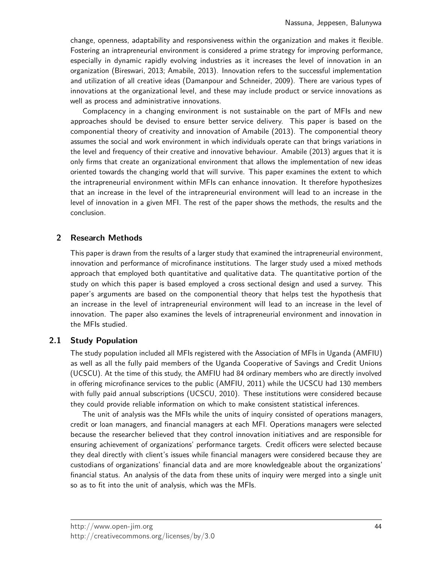change, openness, adaptability and responsiveness within the organization and makes it flexible. Fostering an intrapreneurial environment is considered a prime strategy for improving performance, especially in dynamic rapidly evolving industries as it increases the level of innovation in an organization (Bireswari, 2013; Amabile, 2013). Innovation refers to the successful implementation and utilization of all creative ideas (Damanpour and Schneider, 2009). There are various types of innovations at the organizational level, and these may include product or service innovations as well as process and administrative innovations.

Complacency in a changing environment is not sustainable on the part of MFIs and new approaches should be devised to ensure better service delivery. This paper is based on the componential theory of creativity and innovation of Amabile (2013). The componential theory assumes the social and work environment in which individuals operate can that brings variations in the level and frequency of their creative and innovative behaviour. Amabile (2013) argues that it is only firms that create an organizational environment that allows the implementation of new ideas oriented towards the changing world that will survive. This paper examines the extent to which the intrapreneurial environment within MFIs can enhance innovation. It therefore hypothesizes that an increase in the level of the intrapreneurial environment will lead to an increase in the level of innovation in a given MFI. The rest of the paper shows the methods, the results and the conclusion.

## **2 Research Methods**

This paper is drawn from the results of a larger study that examined the intrapreneurial environment, innovation and performance of microfinance institutions. The larger study used a mixed methods approach that employed both quantitative and qualitative data. The quantitative portion of the study on which this paper is based employed a cross sectional design and used a survey. This paper's arguments are based on the componential theory that helps test the hypothesis that an increase in the level of intrapreneurial environment will lead to an increase in the level of innovation. The paper also examines the levels of intrapreneurial environment and innovation in the MFIs studied.

## **2.1 Study Population**

The study population included all MFIs registered with the Association of MFIs in Uganda (AMFIU) as well as all the fully paid members of the Uganda Cooperative of Savings and Credit Unions (UCSCU). At the time of this study, the AMFIU had 84 ordinary members who are directly involved in offering microfinance services to the public (AMFIU, 2011) while the UCSCU had 130 members with fully paid annual subscriptions (UCSCU, 2010). These institutions were considered because they could provide reliable information on which to make consistent statistical inferences.

The unit of analysis was the MFIs while the units of inquiry consisted of operations managers, credit or loan managers, and financial managers at each MFI. Operations managers were selected because the researcher believed that they control innovation initiatives and are responsible for ensuring achievement of organizations' performance targets. Credit officers were selected because they deal directly with client's issues while financial managers were considered because they are custodians of organizations' financial data and are more knowledgeable about the organizations' financial status. An analysis of the data from these units of inquiry were merged into a single unit so as to fit into the unit of analysis, which was the MFIs.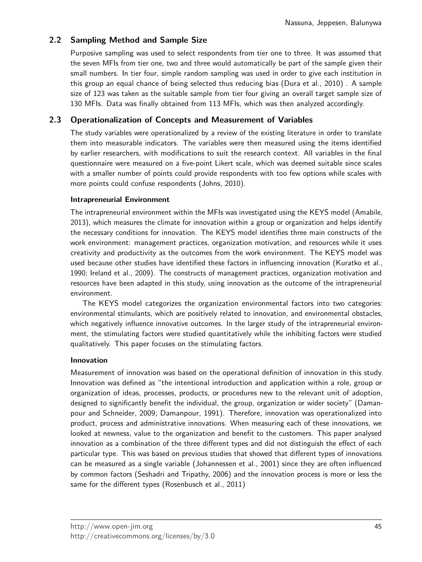## **2.2 Sampling Method and Sample Size**

Purposive sampling was used to select respondents from tier one to three. It was assumed that the seven MFIs from tier one, two and three would automatically be part of the sample given their small numbers. In tier four, simple random sampling was used in order to give each institution in this group an equal chance of being selected thus reducing bias (Dura et al., 2010) . A sample size of 123 was taken as the suitable sample from tier four giving an overall target sample size of 130 MFIs. Data was finally obtained from 113 MFIs, which was then analyzed accordingly.

### **2.3 Operationalization of Concepts and Measurement of Variables**

The study variables were operationalized by a review of the existing literature in order to translate them into measurable indicators. The variables were then measured using the items identified by earlier researchers, with modifications to suit the research context. All variables in the final questionnaire were measured on a five-point Likert scale, which was deemed suitable since scales with a smaller number of points could provide respondents with too few options while scales with more points could confuse respondents (Johns, 2010).

#### **Intrapreneurial Environment**

The intrapreneurial environment within the MFIs was investigated using the KEYS model (Amabile, 2013), which measures the climate for innovation within a group or organization and helps identify the necessary conditions for innovation. The KEYS model identifies three main constructs of the work environment: management practices, organization motivation, and resources while it uses creativity and productivity as the outcomes from the work environment. The KEYS model was used because other studies have identified these factors in influencing innovation (Kuratko et al., 1990; Ireland et al., 2009). The constructs of management practices, organization motivation and resources have been adapted in this study, using innovation as the outcome of the intrapreneurial environment.

The KEYS model categorizes the organization environmental factors into two categories: environmental stimulants, which are positively related to innovation, and environmental obstacles, which negatively influence innovative outcomes. In the larger study of the intrapreneurial environment, the stimulating factors were studied quantitatively while the inhibiting factors were studied qualitatively. This paper focuses on the stimulating factors.

#### **Innovation**

Measurement of innovation was based on the operational definition of innovation in this study. Innovation was defined as "the intentional introduction and application within a role, group or organization of ideas, processes, products, or procedures new to the relevant unit of adoption, designed to significantly benefit the individual, the group, organization or wider society" (Damanpour and Schneider, 2009; Damanpour, 1991). Therefore, innovation was operationalized into product, process and administrative innovations. When measuring each of these innovations, we looked at newness, value to the organization and benefit to the customers. This paper analysed innovation as a combination of the three different types and did not distinguish the effect of each particular type. This was based on previous studies that showed that different types of innovations can be measured as a single variable (Johannessen et al., 2001) since they are often influenced by common factors (Seshadri and Tripathy, 2006) and the innovation process is more or less the same for the different types (Rosenbusch et al., 2011)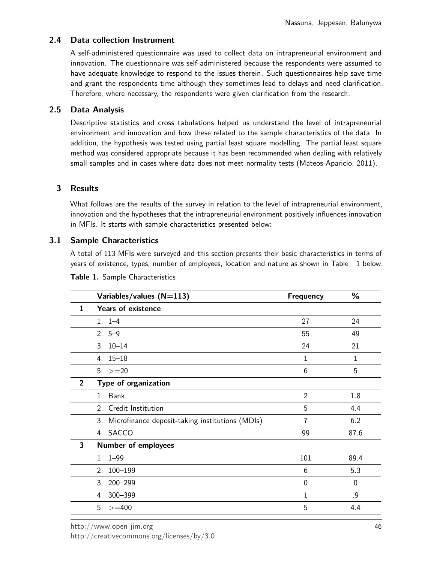## **2.4 Data collection Instrument**

A self-administered questionnaire was used to collect data on intrapreneurial environment and innovation. The questionnaire was self-administered because the respondents were assumed to have adequate knowledge to respond to the issues therein. Such questionnaires help save time and grant the respondents time although they sometimes lead to delays and need clarification. Therefore, where necessary, the respondents were given clarification from the research.

### **2.5 Data Analysis**

Descriptive statistics and cross tabulations helped us understand the level of intrapreneurial environment and innovation and how these related to the sample characteristics of the data. In addition, the hypothesis was tested using partial least square modelling. The partial least square method was considered appropriate because it has been recommended when dealing with relatively small samples and in cases where data does not meet normality tests (Mateos-Aparicio, 2011).

## **3 Results**

What follows are the results of the survey in relation to the level of intrapreneurial environment, innovation and the hypotheses that the intrapreneurial environment positively influences innovation in MFIs. It starts with sample characteristics presented below:

## **3.1 Sample Characteristics**

A total of 113 MFIs were surveyed and this section presents their basic characteristics in terms of years of existence, types, number of employees, location and nature as shown in Table 1 below.

|                | Variables/values (N=113)                           | <b>Frequency</b> | %           |
|----------------|----------------------------------------------------|------------------|-------------|
| $\mathbf{1}$   | <b>Years of existence</b>                          |                  |             |
|                | $1. 1 - 4$                                         | 27               | 24          |
|                | $2.5-9$                                            | 55               | 49          |
|                | $3.10 - 14$                                        | 24               | 21          |
|                | $4.15 - 18$                                        | 1                | 1           |
|                | $5. > = 20$                                        | 6                | 5           |
| $\overline{2}$ | Type of organization                               |                  |             |
|                | 1. Bank                                            | $\overline{2}$   | 1.8         |
|                | 2. Credit Institution                              | 5                | 4.4         |
|                | 3. Microfinance deposit-taking institutions (MDIs) | 7                | 6.2         |
|                | 4. SACCO                                           | 99               | 87.6        |
| 3              | <b>Number of employees</b>                         |                  |             |
|                | $1.1 - 99$                                         | 101              | 89.4        |
|                | 2. 100-199                                         | 6                | 5.3         |
|                | 3. 200-299                                         | $\mathbf 0$      | $\mathbf 0$ |
|                | 4. 300-399                                         | 1                | .9          |
|                | $5. > = 400$                                       | 5                | 4.4         |

**Table 1.** Sample Characteristics

<http://www.open-jim.org>

[http://creativecommons.org/licenses/by/](http://creativecommons.org/licenses/by/3.0)3.0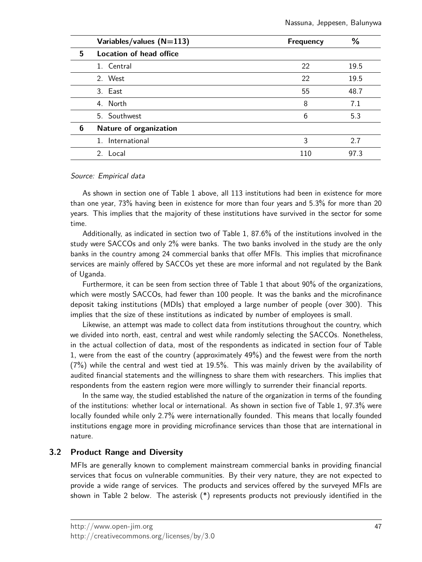|   | Variables/values $(N=113)$ | <b>Frequency</b> | %    |
|---|----------------------------|------------------|------|
| 5 | Location of head office    |                  |      |
|   | 1. Central                 | 22               | 19.5 |
|   | 2. West                    | 22               | 19.5 |
|   | 3. East                    | 55               | 48.7 |
|   | 4. North                   | 8                | 7.1  |
|   | 5. Southwest               | 6                | 5.3  |
| 6 | Nature of organization     |                  |      |
|   | 1. International           | 3                | 2.7  |
|   | 2. Local                   | 110              | 97.3 |

#### Source: Empirical data

As shown in section one of Table 1 above, all 113 institutions had been in existence for more than one year, 73% having been in existence for more than four years and 5.3% for more than 20 years. This implies that the majority of these institutions have survived in the sector for some time.

Additionally, as indicated in section two of Table 1, 87.6% of the institutions involved in the study were SACCOs and only 2% were banks. The two banks involved in the study are the only banks in the country among 24 commercial banks that offer MFIs. This implies that microfinance services are mainly offered by SACCOs yet these are more informal and not regulated by the Bank of Uganda.

Furthermore, it can be seen from section three of Table 1 that about 90% of the organizations, which were mostly SACCOs, had fewer than 100 people. It was the banks and the microfinance deposit taking institutions (MDIs) that employed a large number of people (over 300). This implies that the size of these institutions as indicated by number of employees is small.

Likewise, an attempt was made to collect data from institutions throughout the country, which we divided into north, east, central and west while randomly selecting the SACCOs. Nonetheless, in the actual collection of data, most of the respondents as indicated in section four of Table 1, were from the east of the country (approximately 49%) and the fewest were from the north (7%) while the central and west tied at 19.5%. This was mainly driven by the availability of audited financial statements and the willingness to share them with researchers. This implies that respondents from the eastern region were more willingly to surrender their financial reports.

In the same way, the studied established the nature of the organization in terms of the founding of the institutions: whether local or international. As shown in section five of Table 1, 97.3% were locally founded while only 2.7% were internationally founded. This means that locally founded institutions engage more in providing microfinance services than those that are international in nature.

#### **3.2 Product Range and Diversity**

MFIs are generally known to complement mainstream commercial banks in providing financial services that focus on vulnerable communities. By their very nature, they are not expected to provide a wide range of services. The products and services offered by the surveyed MFIs are shown in Table 2 below. The asterisk (\*) represents products not previously identified in the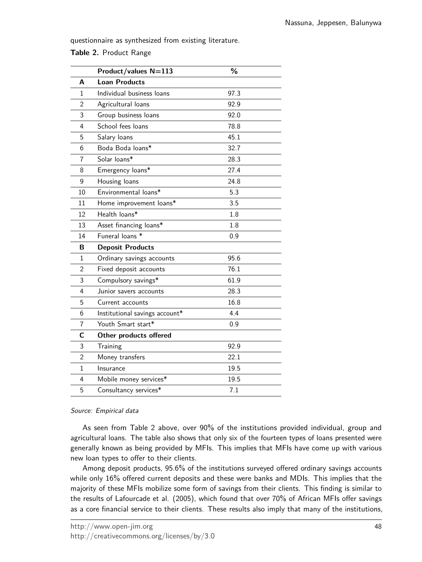questionnaire as synthesized from existing literature.

| Table 2. Product Range |  |  |
|------------------------|--|--|
|------------------------|--|--|

|              | Product/values N=113           | ℅    |
|--------------|--------------------------------|------|
| A            | <b>Loan Products</b>           |      |
| 1            | Individual business loans      | 97.3 |
| 2            | Agricultural loans             | 92.9 |
| 3            | Group business loans           | 92.0 |
| 4            | School fees loans              | 78.8 |
| 5            | Salary loans                   | 45.1 |
| 6            | Boda Boda loans*               | 32.7 |
| 7            | Solar loans*                   | 28.3 |
| 8            | Emergency loans*               | 27.4 |
| 9            | Housing loans                  | 24.8 |
| 10           | Environmental loans*           | 5.3  |
| 11           | Home improvement loans*        | 3.5  |
| 12           | Health loans*                  | 1.8  |
| 13           | Asset financing loans*         | 1.8  |
| 14           | Funeral loans *                | 0.9  |
| В            | <b>Deposit Products</b>        |      |
| 1            | Ordinary savings accounts      | 95.6 |
| 2            | Fixed deposit accounts         | 76.1 |
| 3            | Compulsory savings*            | 61.9 |
| 4            | Junior savers accounts         | 28.3 |
| 5            | Current accounts               | 16.8 |
| 6            | Institutional savings account* | 4.4  |
| 7            | Youth Smart start*             | 0.9  |
| C            | Other products offered         |      |
| 3            | Training                       | 92.9 |
| 2            | Money transfers                | 22.1 |
| $\mathbf{1}$ | Insurance                      | 19.5 |
| 4            | Mobile money services*         | 19.5 |
| 5            | Consultancy services*          | 7.1  |

#### Source: Empirical data

As seen from Table 2 above, over 90% of the institutions provided individual, group and agricultural loans. The table also shows that only six of the fourteen types of loans presented were generally known as being provided by MFIs. This implies that MFIs have come up with various new loan types to offer to their clients.

Among deposit products, 95.6% of the institutions surveyed offered ordinary savings accounts while only 16% offered current deposits and these were banks and MDIs. This implies that the majority of these MFIs mobilize some form of savings from their clients. This finding is similar to the results of Lafourcade et al. (2005), which found that over 70% of African MFIs offer savings as a core financial service to their clients. These results also imply that many of the institutions,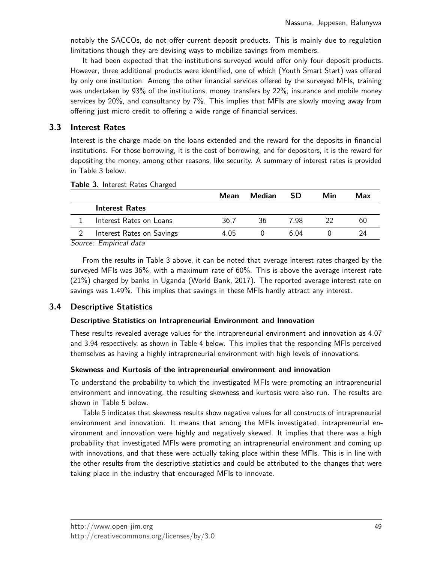notably the SACCOs, do not offer current deposit products. This is mainly due to regulation limitations though they are devising ways to mobilize savings from members.

It had been expected that the institutions surveyed would offer only four deposit products. However, three additional products were identified, one of which (Youth Smart Start) was offered by only one institution. Among the other financial services offered by the surveyed MFIs, training was undertaken by 93% of the institutions, money transfers by 22%, insurance and mobile money services by 20%, and consultancy by 7%. This implies that MFIs are slowly moving away from offering just micro credit to offering a wide range of financial services.

### **3.3 Interest Rates**

Interest is the charge made on the loans extended and the reward for the deposits in financial institutions. For those borrowing, it is the cost of borrowing, and for depositors, it is the reward for depositing the money, among other reasons, like security. A summary of interest rates is provided in Table 3 below.

|                                | Mean | Median | <b>SD</b> | Min | Max |
|--------------------------------|------|--------|-----------|-----|-----|
| <b>Interest Rates</b>          |      |        |           |     |     |
| Interest Rates on Loans        | 36.7 | 36     | 7 98      | 22  | 60  |
| Interest Rates on Savings      | 4.05 |        | .6 04     |     | 24  |
| $Sourco$ <i>Empirical</i> data |      |        |           |     |     |

#### **Table 3.** Interest Rates Charged

Source: Empirical data

From the results in Table 3 above, it can be noted that average interest rates charged by the surveyed MFIs was 36%, with a maximum rate of 60%. This is above the average interest rate (21%) charged by banks in Uganda (World Bank, 2017). The reported average interest rate on savings was 1.49%. This implies that savings in these MFIs hardly attract any interest.

## **3.4 Descriptive Statistics**

#### **Descriptive Statistics on Intrapreneurial Environment and Innovation**

These results revealed average values for the intrapreneurial environment and innovation as 4.07 and 3.94 respectively, as shown in Table 4 below. This implies that the responding MFIs perceived themselves as having a highly intrapreneurial environment with high levels of innovations.

#### **Skewness and Kurtosis of the intrapreneurial environment and innovation**

To understand the probability to which the investigated MFIs were promoting an intrapreneurial environment and innovating, the resulting skewness and kurtosis were also run. The results are shown in Table 5 below.

Table 5 indicates that skewness results show negative values for all constructs of intrapreneurial environment and innovation. It means that among the MFIs investigated, intrapreneurial environment and innovation were highly and negatively skewed. It implies that there was a high probability that investigated MFIs were promoting an intrapreneurial environment and coming up with innovations, and that these were actually taking place within these MFIs. This is in line with the other results from the descriptive statistics and could be attributed to the changes that were taking place in the industry that encouraged MFIs to innovate.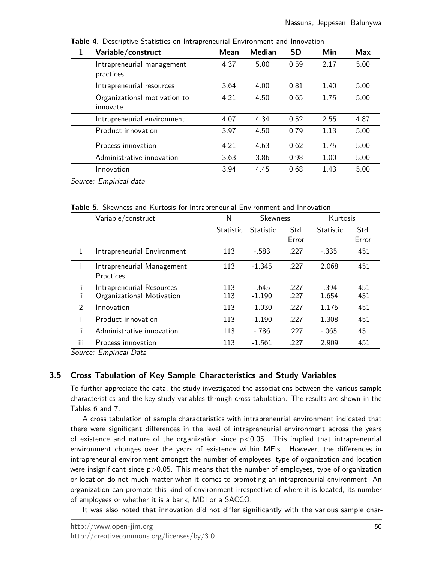| 1 | Variable/construct                       | Mean | <b>Median</b> | <b>SD</b> | Min  | Max  |
|---|------------------------------------------|------|---------------|-----------|------|------|
|   | Intrapreneurial management<br>practices  | 4.37 | 5.00          | 0.59      | 2.17 | 5.00 |
|   | Intrapreneurial resources                | 3.64 | 4.00          | 0.81      | 1.40 | 5.00 |
|   | Organizational motivation to<br>innovate | 4.21 | 4.50          | 0.65      | 1.75 | 5.00 |
|   | Intrapreneurial environment              | 4.07 | 4.34          | 0.52      | 2.55 | 4.87 |
|   | Product innovation                       | 3.97 | 4.50          | 0.79      | 1.13 | 5.00 |
|   | Process innovation                       | 4.21 | 4.63          | 0.62      | 1.75 | 5.00 |
|   | Administrative innovation                | 3.63 | 3.86          | 0.98      | 1.00 | 5.00 |
|   | Innovation                               | 3.94 | 4.45          | 0.68      | 1.43 | 5.00 |
|   | Source: Empirical data                   |      |               |           |      |      |

**Table 4.** Descriptive Statistics on Intrapreneurial Environment and Innovation

**Table 5.** Skewness and Kurtosis for Intrapreneurial Environment and Innovation

|     | Variable/construct          | N                | <b>Skewness</b>  |       | Kurtosis         |       |
|-----|-----------------------------|------------------|------------------|-------|------------------|-------|
|     |                             | <b>Statistic</b> | <b>Statistic</b> | Std.  | <b>Statistic</b> | Std.  |
|     |                             |                  |                  | Error |                  | Error |
| 1   | Intrapreneurial Environment | 113              | $-.583$          | .227  | $-335$           | .451  |
| i   | Intrapreneurial Management  | 113              | $-1.345$         | .227  | 2.068            | .451  |
|     | Practices                   |                  |                  |       |                  |       |
| ii. | Intrapreneurial Resources   | 113              | $-.645$          | .227  | $-.394$          | .451  |
| ïi  | Organizational Motivation   | 113              | $-1.190$         | .227  | 1.654            | .451  |
| 2   | Innovation                  | 113              | $-1.030$         | .227  | 1.175            | .451  |
| i   | Product innovation          | 113              | $-1.190$         | .227  | 1.308            | .451  |
| ii  | Administrative innovation   | 113              | $-.786$          | .227  | $-.065$          | .451  |
| iii | Process innovation          | 113              | $-1.561$         | .227  | 2.909            | .451  |

Source: Empirical Data

## **3.5 Cross Tabulation of Key Sample Characteristics and Study Variables**

To further appreciate the data, the study investigated the associations between the various sample characteristics and the key study variables through cross tabulation. The results are shown in the Tables 6 and 7.

A cross tabulation of sample characteristics with intrapreneurial environment indicated that there were significant differences in the level of intrapreneurial environment across the years of existence and nature of the organization since  $p<0.05$ . This implied that intrapreneurial environment changes over the years of existence within MFIs. However, the differences in intrapreneurial environment amongst the number of employees, type of organization and location were insignificant since  $p > 0.05$ . This means that the number of employees, type of organization or location do not much matter when it comes to promoting an intrapreneurial environment. An organization can promote this kind of environment irrespective of where it is located, its number of employees or whether it is a bank, MDI or a SACCO.

It was also noted that innovation did not differ significantly with the various sample char-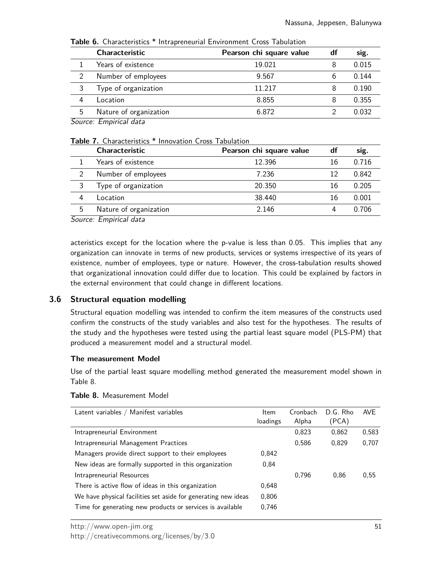|                          | <b>Characteristic</b>  | Pearson chi square value | df | sig.  |
|--------------------------|------------------------|--------------------------|----|-------|
|                          | Years of existence     | 19.021                   |    | 0.015 |
| $\mathcal{D}$            | Number of employees    | 9.567                    | b  | 0.144 |
| 3                        | Type of organization   | 11.217                   |    | 0.190 |
| 4                        | Location               | 8.855                    | 8  | 0.355 |
| 5                        | Nature of organization | 6.872                    |    | 0.032 |
| $\overline{\phantom{a}}$ | _ _ _ _                |                          |    |       |

**Table 6.** Characteristics \* Intrapreneurial Environment Cross Tabulation

Source: Empirical data

#### **Table 7.** Characteristics \* Innovation Cross Tabulation

|               | <b>Characteristic</b>  | Pearson chi square value | df | sig.  |
|---------------|------------------------|--------------------------|----|-------|
|               | Years of existence     | 12.396                   | 16 | 0.716 |
| $\mathcal{D}$ | Number of employees    | 7.236                    | 12 | 0.842 |
|               | Type of organization   | 20.350                   | 16 | 0.205 |
| 4             | Location               | 38.440                   | 16 | 0.001 |
| 5             | Nature of organization | 2.146                    |    | 0.706 |

Source: Empirical data

acteristics except for the location where the p-value is less than 0.05. This implies that any organization can innovate in terms of new products, services or systems irrespective of its years of existence, number of employees, type or nature. However, the cross-tabulation results showed that organizational innovation could differ due to location. This could be explained by factors in the external environment that could change in different locations.

## **3.6 Structural equation modelling**

Structural equation modelling was intended to confirm the item measures of the constructs used confirm the constructs of the study variables and also test for the hypotheses. The results of the study and the hypotheses were tested using the partial least square model (PLS-PM) that produced a measurement model and a structural model.

#### **The measurement Model**

Use of the partial least square modelling method generated the measurement model shown in Table 8.

| Latent variables / Manifest variables                          | Item<br>loadings | Cronbach<br>Alpha | D.G. Rho<br>(PCA) | <b>AVE</b> |
|----------------------------------------------------------------|------------------|-------------------|-------------------|------------|
| Intrapreneurial Environment                                    |                  | 0,823             | 0,862             | 0.583      |
| Intrapreneurial Management Practices                           |                  | 0,586             | 0,829             | 0,707      |
| Managers provide direct support to their employees             | 0.842            |                   |                   |            |
| New ideas are formally supported in this organization          | 0.84             |                   |                   |            |
| Intrapreneurial Resources                                      |                  | 0.796             | 0.86              | 0,55       |
| There is active flow of ideas in this organization             | 0.648            |                   |                   |            |
| We have physical facilities set aside for generating new ideas | 0.806            |                   |                   |            |
| Time for generating new products or services is available      | 0.746            |                   |                   |            |

#### **Table 8.** Measurement Model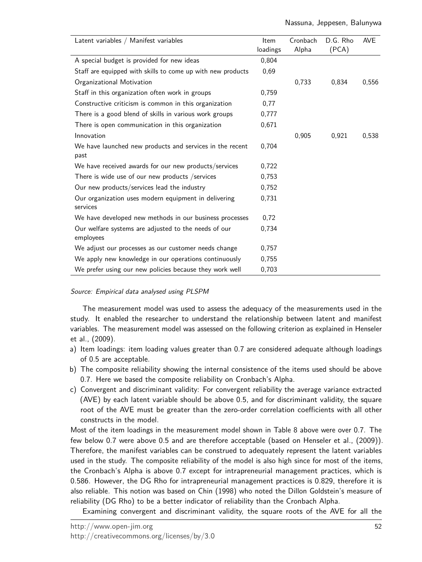| Latent variables / Manifest variables                             | <b>Item</b><br>loadings | Cronbach<br>Alpha | D.G. Rho<br>(PCA) | <b>AVE</b> |
|-------------------------------------------------------------------|-------------------------|-------------------|-------------------|------------|
| A special budget is provided for new ideas                        | 0,804                   |                   |                   |            |
| Staff are equipped with skills to come up with new products       | 0,69                    |                   |                   |            |
| Organizational Motivation                                         |                         | 0,733             | 0,834             | 0.556      |
| Staff in this organization often work in groups                   | 0,759                   |                   |                   |            |
| Constructive criticism is common in this organization             | 0,77                    |                   |                   |            |
| There is a good blend of skills in various work groups            | 0,777                   |                   |                   |            |
| There is open communication in this organization                  | 0.671                   |                   |                   |            |
| Innovation                                                        |                         | 0,905             | 0,921             | 0,538      |
| We have launched new products and services in the recent<br>past  | 0,704                   |                   |                   |            |
| We have received awards for our new products/services             | 0,722                   |                   |                   |            |
| There is wide use of our new products /services                   | 0,753                   |                   |                   |            |
| Our new products/services lead the industry                       | 0,752                   |                   |                   |            |
| Our organization uses modern equipment in delivering<br>services  | 0,731                   |                   |                   |            |
| We have developed new methods in our business processes           | 0,72                    |                   |                   |            |
| Our welfare systems are adjusted to the needs of our<br>employees | 0,734                   |                   |                   |            |
| We adjust our processes as our customer needs change              | 0.757                   |                   |                   |            |
| We apply new knowledge in our operations continuously             | 0.755                   |                   |                   |            |
| We prefer using our new policies because they work well           | 0,703                   |                   |                   |            |

#### Source: Empirical data analysed using PLSPM

The measurement model was used to assess the adequacy of the measurements used in the study. It enabled the researcher to understand the relationship between latent and manifest variables. The measurement model was assessed on the following criterion as explained in Henseler et al., (2009).

- a) Item loadings: item loading values greater than 0.7 are considered adequate although loadings of 0.5 are acceptable.
- b) The composite reliability showing the internal consistence of the items used should be above 0.7. Here we based the composite reliability on Cronbach's Alpha.
- c) Convergent and discriminant validity: For convergent reliability the average variance extracted (AVE) by each latent variable should be above 0.5, and for discriminant validity, the square root of the AVE must be greater than the zero-order correlation coefficients with all other constructs in the model.

Most of the item loadings in the measurement model shown in Table 8 above were over 0.7. The few below 0.7 were above 0.5 and are therefore acceptable (based on Henseler et al., (2009)). Therefore, the manifest variables can be construed to adequately represent the latent variables used in the study. The composite reliability of the model is also high since for most of the items, the Cronbach's Alpha is above 0.7 except for intrapreneurial management practices, which is 0.586. However, the DG Rho for intrapreneurial management practices is 0.829, therefore it is also reliable. This notion was based on Chin (1998) who noted the Dillon Goldstein's measure of reliability (DG Rho) to be a better indicator of reliability than the Cronbach Alpha.

Examining convergent and discriminant validity, the square roots of the AVE for all the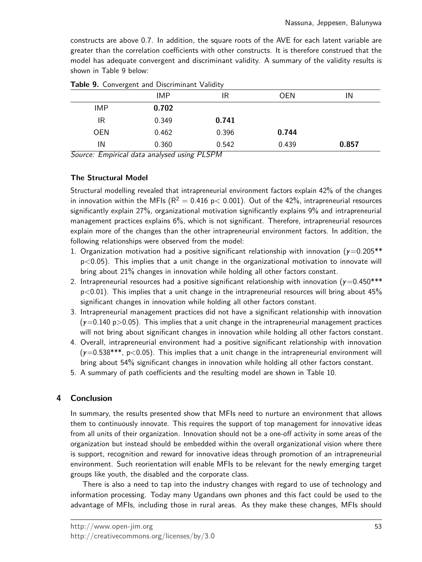constructs are above 0.7. In addition, the square roots of the AVE for each latent variable are greater than the correlation coefficients with other constructs. It is therefore construed that the model has adequate convergent and discriminant validity. A summary of the validity results is shown in Table 9 below:

|            | <b>IMP</b> | IR    | <b>OEN</b> | IN    |
|------------|------------|-------|------------|-------|
| <b>IMP</b> | 0.702      |       |            |       |
| IR         | 0.349      | 0.741 |            |       |
| <b>OEN</b> | 0.462      | 0.396 | 0.744      |       |
| IN         | 0.360      | 0.542 | 0.439      | 0.857 |

**Table 9.** Convergent and Discriminant Validity

Source: Empirical data analysed using PLSPM

#### **The Structural Model**

Structural modelling revealed that intrapreneurial environment factors explain 42% of the changes in innovation within the MFIs ( $R^2 = 0.416$  p $< 0.001$ ). Out of the 42%, intrapreneurial resources significantly explain 27%, organizational motivation significantly explains 9% and intrapreneurial management practices explains 6%, which is not significant. Therefore, intrapreneurial resources explain more of the changes than the other intrapreneurial environment factors. In addition, the following relationships were observed from the model:

- 1. Organization motivation had a positive significant relationship with innovation ( $\gamma$ =0.205\*\* p<0.05). This implies that a unit change in the organizational motivation to innovate will bring about 21% changes in innovation while holding all other factors constant.
- 2. Intrapreneurial resources had a positive significant relationship with innovation ( $\gamma$ =0.450\*\*\*  $p<0.01$ ). This implies that a unit change in the intrapreneurial resources will bring about 45% significant changes in innovation while holding all other factors constant.
- 3. Intrapreneurial management practices did not have a significant relationship with innovation  $(y=0.140 \text{ p}>0.05)$ . This implies that a unit change in the intrapreneurial management practices will not bring about significant changes in innovation while holding all other factors constant.
- 4. Overall, intrapreneurial environment had a positive significant relationship with innovation  $(y=0.538***, p<0.05)$ . This implies that a unit change in the intrapreneurial environment will bring about 54% significant changes in innovation while holding all other factors constant.
- 5. A summary of path coefficients and the resulting model are shown in Table 10.

#### **4 Conclusion**

In summary, the results presented show that MFIs need to nurture an environment that allows them to continuously innovate. This requires the support of top management for innovative ideas from all units of their organization. Innovation should not be a one-off activity in some areas of the organization but instead should be embedded within the overall organizational vision where there is support, recognition and reward for innovative ideas through promotion of an intrapreneurial environment. Such reorientation will enable MFIs to be relevant for the newly emerging target groups like youth, the disabled and the corporate class.

There is also a need to tap into the industry changes with regard to use of technology and information processing. Today many Ugandans own phones and this fact could be used to the advantage of MFIs, including those in rural areas. As they make these changes, MFIs should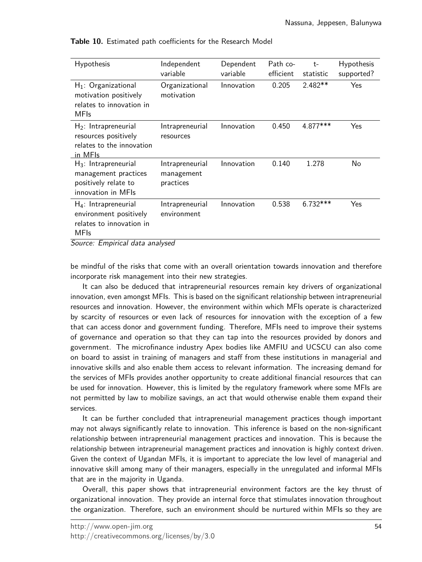| <b>Hypothesis</b>                                                                                                               | Independent<br>variable                    | Dependent<br>variable | Path co-<br>efficient | $t-$<br>statistic | <b>Hypothesis</b><br>supported? |
|---------------------------------------------------------------------------------------------------------------------------------|--------------------------------------------|-----------------------|-----------------------|-------------------|---------------------------------|
| $H_1$ : Organizational<br>motivation positively<br>relates to innovation in<br><b>MFIs</b>                                      | Organizational<br>motivation               | Innovation            | 0.205                 | $2.482**$         | Yes                             |
| $H_2$ : Intrapreneurial<br>resources positively<br>relates to the innovation<br>in MFIs                                         | Intrapreneurial<br>resources               | Innovation            | 0.450                 | 4.877***          | Yes                             |
| $H_3$ : Intrapreneurial<br>management practices<br>positively relate to<br>innovation in MFIs                                   | Intrapreneurial<br>management<br>practices | Innovation            | 0.140                 | 1.278             | No                              |
| $H_4$ : Intrapreneurial<br>environment positively<br>relates to innovation in<br><b>MFIs</b><br>Cource: Empirical data analysed | Intrapreneurial<br>environment             | Innovation            | 0.538                 | $6.732***$        | Yes                             |

**Table 10.** Estimated path coefficients for the Research Model

Source: Empirical data analysed

be mindful of the risks that come with an overall orientation towards innovation and therefore incorporate risk management into their new strategies.

It can also be deduced that intrapreneurial resources remain key drivers of organizational innovation, even amongst MFIs. This is based on the significant relationship between intrapreneurial resources and innovation. However, the environment within which MFIs operate is characterized by scarcity of resources or even lack of resources for innovation with the exception of a few that can access donor and government funding. Therefore, MFIs need to improve their systems of governance and operation so that they can tap into the resources provided by donors and government. The microfinance industry Apex bodies like AMFIU and UCSCU can also come on board to assist in training of managers and staff from these institutions in managerial and innovative skills and also enable them access to relevant information. The increasing demand for the services of MFIs provides another opportunity to create additional financial resources that can be used for innovation. However, this is limited by the regulatory framework where some MFIs are not permitted by law to mobilize savings, an act that would otherwise enable them expand their services.

It can be further concluded that intrapreneurial management practices though important may not always significantly relate to innovation. This inference is based on the non-significant relationship between intrapreneurial management practices and innovation. This is because the relationship between intrapreneurial management practices and innovation is highly context driven. Given the context of Ugandan MFIs, it is important to appreciate the low level of managerial and innovative skill among many of their managers, especially in the unregulated and informal MFIs that are in the majority in Uganda.

Overall, this paper shows that intrapreneurial environment factors are the key thrust of organizational innovation. They provide an internal force that stimulates innovation throughout the organization. Therefore, such an environment should be nurtured within MFIs so they are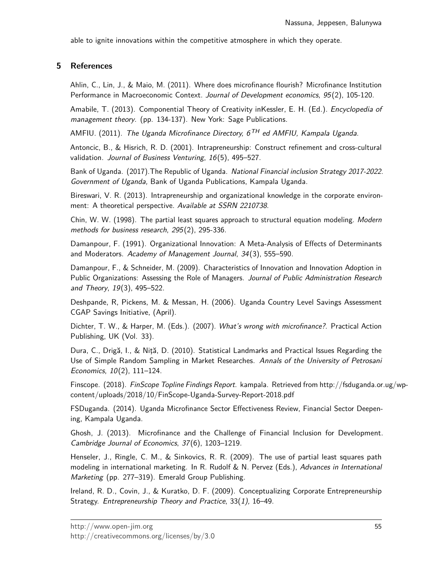able to ignite innovations within the competitive atmosphere in which they operate.

## **5 References**

Ahlin, C., Lin, J., & Maio, M. (2011). Where does microfinance flourish? Microfinance Institution Performance in Macroeconomic Context. Journal of Development economics, 95(2), 105-120.

Amabile, T. (2013). Componential Theory of Creativity inKessler, E. H. (Ed.). *Encyclopedia of* management theory. (pp. 134-137). New York: Sage Publications.

AMFIU. (2011). The Uganda Microfinance Directory,  $6^{TH}$  ed AMFIU, Kampala Uganda.

Antoncic, B., & Hisrich, R. D. (2001). Intrapreneurship: Construct refinement and cross-cultural validation. Journal of Business Venturing, 16(5), 495-527.

Bank of Uganda. (2017).The Republic of Uganda. National Financial inclusion Strategy 2017-2022. Government of Uganda, Bank of Uganda Publications, Kampala Uganda.

Bireswari, V. R. (2013). Intrapreneurship and organizational knowledge in the corporate environment: A theoretical perspective. Available at SSRN 2210738.

Chin, W. W. (1998). The partial least squares approach to structural equation modeling. Modern methods for business research, 295(2), 295-336.

Damanpour, F. (1991). Organizational Innovation: A Meta-Analysis of Effects of Determinants and Moderators. Academy of Management Journal, 34(3), 555–590.

Damanpour, F., & Schneider, M. (2009). Characteristics of Innovation and Innovation Adoption in Public Organizations: Assessing the Role of Managers. Journal of Public Administration Research and Theory, 19(3), 495–522.

Deshpande, R, Pickens, M. & Messan, H. (2006). Uganda Country Level Savings Assessment CGAP Savings Initiative, (April).

Dichter, T. W., & Harper, M. (Eds.). (2007). What's wrong with microfinance?. Practical Action Publishing, UK (Vol. 33).

Dura, C., Drigă, I., & Niţă, D. (2010). Statistical Landmarks and Practical Issues Regarding the Use of Simple Random Sampling in Market Researches. Annals of the University of Petrosani Economics, 10(2), 111–124.

Finscope. (2018). FinScope Topline Findings Report. kampala. Retrieved from http://fsduganda.or.ug/wpcontent/uploads/2018/10/FinScope-Uganda-Survey-Report-2018.pdf

FSDuganda. (2014). Uganda Microfinance Sector Effectiveness Review, Financial Sector Deepening, Kampala Uganda.

Ghosh, J. (2013). Microfinance and the Challenge of Financial Inclusion for Development. Cambridge Journal of Economics, 37(6), 1203–1219.

Henseler, J., Ringle, C. M., & Sinkovics, R. R. (2009). The use of partial least squares path modeling in international marketing. In R. Rudolf & N. Pervez (Eds.), Advances in International Marketing (pp. 277–319). Emerald Group Publishing.

Ireland, R. D., Covin, J., & Kuratko, D. F. (2009). Conceptualizing Corporate Entrepreneurship Strategy. Entrepreneurship Theory and Practice, 33(1), 16-49.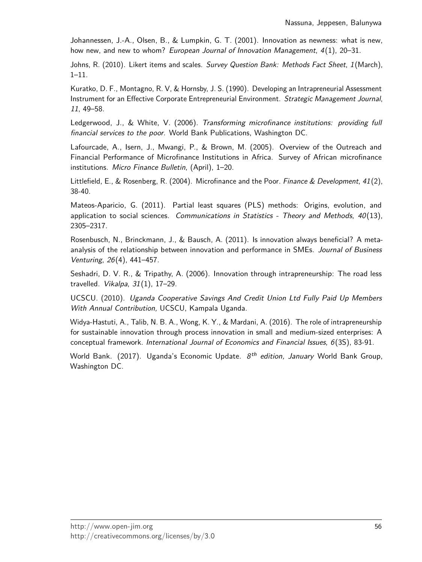Johannessen, J.-A., Olsen, B., & Lumpkin, G. T. (2001). Innovation as newness: what is new, how new, and new to whom? European Journal of Innovation Management,  $4(1)$ , 20–31.

Johns, R. (2010). Likert items and scales. Survey Question Bank: Methods Fact Sheet, 1 (March), 1–11.

Kuratko, D. F., Montagno, R. V, & Hornsby, J. S. (1990). Developing an Intrapreneurial Assessment Instrument for an Effective Corporate Entrepreneurial Environment. Strategic Management Journal, 11, 49–58.

Ledgerwood, J., & White, V. (2006). Transforming microfinance institutions: providing full financial services to the poor. World Bank Publications, Washington DC.

Lafourcade, A., Isern, J., Mwangi, P., & Brown, M. (2005). Overview of the Outreach and Financial Performance of Microfinance Institutions in Africa. Survey of African microfinance institutions. Micro Finance Bulletin, (April), 1–20.

Littlefield, E., & Rosenberg, R. (2004). Microfinance and the Poor. Finance & Development, 41(2). 38-40.

Mateos-Aparicio, G. (2011). Partial least squares (PLS) methods: Origins, evolution, and application to social sciences. Communications in Statistics - Theory and Methods,  $40(13)$ , 2305–2317.

Rosenbusch, N., Brinckmann, J., & Bausch, A. (2011). Is innovation always beneficial? A metaanalysis of the relationship between innovation and performance in SMEs. Journal of Business Venturing, 26(4), 441–457.

Seshadri, D. V. R., & Tripathy, A. (2006). Innovation through intrapreneurship: The road less travelled. Vikalpa,  $31(1)$ ,  $17-29$ .

UCSCU. (2010). Uganda Cooperative Savings And Credit Union Ltd Fully Paid Up Members With Annual Contribution, UCSCU, Kampala Uganda.

Widya-Hastuti, A., Talib, N. B. A., Wong, K. Y., & Mardani, A. (2016). The role of intrapreneurship for sustainable innovation through process innovation in small and medium-sized enterprises: A conceptual framework. International Journal of Economics and Financial Issues, 6(3S), 83-91.

World Bank. (2017). Uganda's Economic Update.  $8<sup>th</sup>$  edition, January World Bank Group, Washington DC.